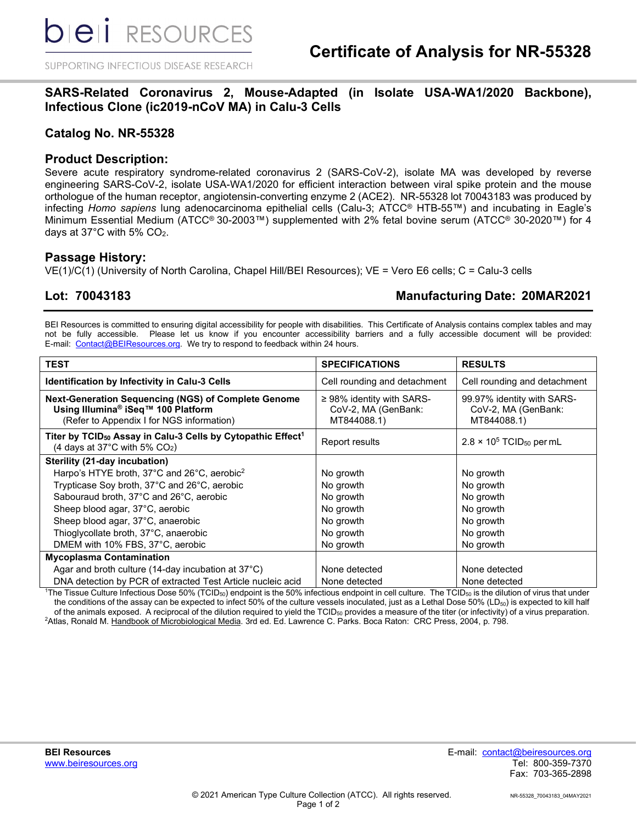SUPPORTING INFECTIOUS DISEASE RESEARCH

## **SARS-Related Coronavirus 2, Mouse-Adapted (in Isolate USA-WA1/2020 Backbone), Infectious Clone (ic2019-nCoV MA) in Calu-3 Cells**

## **Catalog No. NR-55328**

## **Product Description:**

Severe acute respiratory syndrome-related coronavirus 2 (SARS-CoV-2), isolate MA was developed by reverse engineering SARS-CoV-2, isolate USA-WA1/2020 for efficient interaction between viral spike protein and the mouse orthologue of the human receptor, angiotensin-converting enzyme 2 (ACE2). NR-55328 lot 70043183 was produced by infecting *Homo sapiens* lung adenocarcinoma epithelial cells (Calu-3; ATCC® HTB-55™) and incubating in Eagle's Minimum Essential Medium (ATCC® 30-2003™) supplemented with 2% fetal bovine serum (ATCC® 30-2020™) for 4 days at 37°C with 5% CO2.

### **Passage History:**

VE(1)/C(1) (University of North Carolina, Chapel Hill/BEI Resources); VE = Vero E6 cells; C = Calu-3 cells

## **Lot: 70043183 Manufacturing Date: 20MAR2021**

BEI Resources is committed to ensuring digital accessibility for people with disabilities. This Certificate of Analysis contains complex tables and may not be fully accessible. Please let us know if you encounter accessibility barriers and a fully accessible document will be provided: E-mail: [Contact@BEIResources.org.](mailto:contact@BEIResources.org) We try to respond to feedback within 24 hours.

| <b>TEST</b>                                                                                                                                               | <b>SPECIFICATIONS</b>                                                | <b>RESULTS</b>                                                   |
|-----------------------------------------------------------------------------------------------------------------------------------------------------------|----------------------------------------------------------------------|------------------------------------------------------------------|
| Identification by Infectivity in Calu-3 Cells                                                                                                             | Cell rounding and detachment                                         | Cell rounding and detachment                                     |
| <b>Next-Generation Sequencing (NGS) of Complete Genome</b><br>Using Illumina <sup>®</sup> iSeq™ 100 Platform<br>(Refer to Appendix I for NGS information) | $\geq$ 98% identity with SARS-<br>CoV-2, MA (GenBank:<br>MT844088.1) | 99.97% identity with SARS-<br>CoV-2, MA (GenBank:<br>MT844088.1) |
| Titer by TCID <sub>50</sub> Assay in Calu-3 Cells by Cytopathic Effect <sup>1</sup><br>(4 days at 37 $^{\circ}$ C with 5% CO <sub>2</sub> )               | Report results                                                       | $2.8 \times 10^5$ TCID <sub>50</sub> per mL                      |
| Sterility (21-day incubation)                                                                                                                             |                                                                      |                                                                  |
| Harpo's HTYE broth, 37°C and 26°C, aerobic <sup>2</sup>                                                                                                   | No growth                                                            | No growth                                                        |
| Trypticase Soy broth, 37°C and 26°C, aerobic                                                                                                              | No growth                                                            | No growth                                                        |
| Sabouraud broth, 37°C and 26°C, aerobic                                                                                                                   | No growth                                                            | No growth                                                        |
| Sheep blood agar, 37°C, aerobic                                                                                                                           | No growth                                                            | No growth                                                        |
| Sheep blood agar, 37°C, anaerobic                                                                                                                         | No growth                                                            | No growth                                                        |
| Thioglycollate broth, 37°C, anaerobic                                                                                                                     | No growth                                                            | No growth                                                        |
| DMEM with 10% FBS, 37°C, aerobic                                                                                                                          | No growth                                                            | No growth                                                        |
| <b>Mycoplasma Contamination</b>                                                                                                                           |                                                                      |                                                                  |
| Agar and broth culture (14-day incubation at 37°C)                                                                                                        | None detected                                                        | None detected                                                    |
| DNA detection by PCR of extracted Test Article nucleic acid                                                                                               | None detected                                                        | None detected                                                    |

 $^{\rm 1}$ The Tissue Culture Infectious Dose 50% (TCID $_{50}$ ) endpoint is the 50% infectious endpoint in cell culture. The TCID $_{50}$  is the dilution of virus that under the conditions of the assay can be expected to infect 50% of the culture vessels inoculated, just as a Lethal Dose 50% (LD<sub>50</sub>) is expected to kill half of the animals exposed. A reciprocal of the dilution required to yield the  $TCID_{50}$  provides a measure of the titer (or infectivity) of a virus preparation. <sup>2</sup>Atlas, Ronald M. <u>Handbook of Microbiological Media</u>. 3rd ed. Ed. Lawrence C. Parks. Boca Raton: CRC Press, 2004, p. 798.